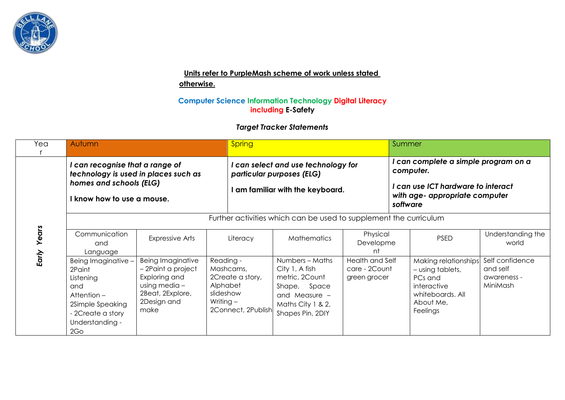

## **Units refer to PurpleMash scheme of work unless stated otherwise.**

## **Computer Science Information Technology Digital Literacy including E-Safety**

## *Target Tracker Statements*

| Yea   | <b>Autumn</b>                                                                                                                                     |                                                                                                                      | Spring                                                                                                   |                                                                                                                               |                                                  | Summer                                                                                                                                |                                                                                                                 |                                                        |
|-------|---------------------------------------------------------------------------------------------------------------------------------------------------|----------------------------------------------------------------------------------------------------------------------|----------------------------------------------------------------------------------------------------------|-------------------------------------------------------------------------------------------------------------------------------|--------------------------------------------------|---------------------------------------------------------------------------------------------------------------------------------------|-----------------------------------------------------------------------------------------------------------------|--------------------------------------------------------|
|       | I can recognise that a range of<br>technology is used in places such as<br>homes and schools (ELG)<br>I know how to use a mouse.                  |                                                                                                                      |                                                                                                          | I can select and use technology for<br>particular purposes (ELG)<br>I am familiar with the keyboard.                          |                                                  | I can complete a simple program on a<br>computer.<br>I can use ICT hardware to interact<br>with age- appropriate computer<br>software |                                                                                                                 |                                                        |
|       | Further activities which can be used to supplement the curriculum                                                                                 |                                                                                                                      |                                                                                                          |                                                                                                                               |                                                  |                                                                                                                                       |                                                                                                                 |                                                        |
| Years | Communication<br>and<br>Language                                                                                                                  | Expressive Arts                                                                                                      | Literacy                                                                                                 | <b>Mathematics</b>                                                                                                            | Physical<br>Developme<br>nt                      |                                                                                                                                       | <b>PSED</b>                                                                                                     | Understanding the<br>world                             |
| Early | Being Imaginative -<br>2Paint<br>Listening<br>and<br>Attention $-$<br>2Simple Speaking<br>- 2Create a story<br>Understanding -<br>2G <sub>O</sub> | Being Imaginative<br>- 2Paint a project<br>Exploring and<br>using media -<br>2Beat, 2Explore,<br>2Design and<br>make | Reading -<br>Mashcams,<br>2Create a story,<br>Alphabet<br>slideshow<br>Writing $-$<br>2Connect, 2Publish | Numbers - Maths<br>City 1, A fish<br>metric, 2Count<br>Shape, Space<br>and Measure -<br>Maths City 1 & 2,<br>Shapes Pin, 2DIY | Health and Self<br>care - 2Count<br>green grocer |                                                                                                                                       | Making relationships<br>- using tablets,<br>PCs and<br>interactive<br>whiteboards. All<br>About Me,<br>Feelings | Self confidence<br>and self<br>awareness -<br>MiniMash |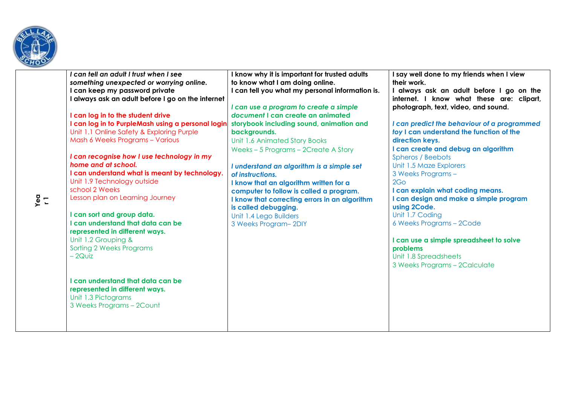

| $\frac{1}{2}$ | I can tell an adult I trust when I see<br>something unexpected or worrying online.<br>I can keep my password private<br>I always ask an adult before I go on the internet<br>I can log in to the student drive<br>I can log in to PurpleMash using a personal login<br>Unit 1.1 Online Safety & Exploring Purple<br>Mash 6 Weeks Programs - Various<br>I can recognise how I use technology in my<br>home and at school.<br>I can understand what is meant by technology.<br>Unit 1.9 Technology outside<br>school 2 Weeks<br>Lesson plan on Learning Journey<br>I can sort and group data.<br>I can understand that data can be<br>represented in different ways.<br>Unit 1.2 Grouping &<br>Sorting 2 Weeks Programs<br>$-2Q$ uiz<br>I can understand that data can be<br>represented in different ways.<br>Unit 1.3 Pictograms<br>3 Weeks Programs - 2Count | I know why it is important for trusted adults<br>to know what I am doing online.<br>I can tell you what my personal information is.<br>I can use a program to create a simple<br>document I can create an animated<br>storybook including sound, animation and<br>backgrounds.<br>Unit 1.6 Animated Story Books<br>Weeks - 5 Programs - 2 Create A Story<br>I understand an algorithm is a simple set<br>of instructions.<br>I know that an algorithm written for a<br>computer to follow is called a program.<br>I know that correcting errors in an algorithm<br>is called debugging.<br>Unit 1.4 Lego Builders<br>3 Weeks Program-2DIY | I say well done to my friends when I view<br>their work.<br>I always ask an adult before I go on the<br>internet. I know what these are: clipart,<br>photograph, text, video, and sound.<br>I can predict the behaviour of a programmed<br>toy I can understand the function of the<br>direction keys.<br>I can create and debug an algorithm<br>Spheros / Beebots<br>Unit 1.5 Maze Explorers<br>3 Weeks Programs -<br>2G <sub>O</sub><br>I can explain what coding means.<br>I can design and make a simple program<br>using 2Code.<br>Unit 1.7 Coding<br>6 Weeks Programs - 2Code<br>I can use a simple spreadsheet to solve<br>problems<br>Unit 1.8 Spreadsheets<br>3 Weeks Programs - 2Calculate |
|---------------|---------------------------------------------------------------------------------------------------------------------------------------------------------------------------------------------------------------------------------------------------------------------------------------------------------------------------------------------------------------------------------------------------------------------------------------------------------------------------------------------------------------------------------------------------------------------------------------------------------------------------------------------------------------------------------------------------------------------------------------------------------------------------------------------------------------------------------------------------------------|-------------------------------------------------------------------------------------------------------------------------------------------------------------------------------------------------------------------------------------------------------------------------------------------------------------------------------------------------------------------------------------------------------------------------------------------------------------------------------------------------------------------------------------------------------------------------------------------------------------------------------------------|------------------------------------------------------------------------------------------------------------------------------------------------------------------------------------------------------------------------------------------------------------------------------------------------------------------------------------------------------------------------------------------------------------------------------------------------------------------------------------------------------------------------------------------------------------------------------------------------------------------------------------------------------------------------------------------------------|
|---------------|---------------------------------------------------------------------------------------------------------------------------------------------------------------------------------------------------------------------------------------------------------------------------------------------------------------------------------------------------------------------------------------------------------------------------------------------------------------------------------------------------------------------------------------------------------------------------------------------------------------------------------------------------------------------------------------------------------------------------------------------------------------------------------------------------------------------------------------------------------------|-------------------------------------------------------------------------------------------------------------------------------------------------------------------------------------------------------------------------------------------------------------------------------------------------------------------------------------------------------------------------------------------------------------------------------------------------------------------------------------------------------------------------------------------------------------------------------------------------------------------------------------------|------------------------------------------------------------------------------------------------------------------------------------------------------------------------------------------------------------------------------------------------------------------------------------------------------------------------------------------------------------------------------------------------------------------------------------------------------------------------------------------------------------------------------------------------------------------------------------------------------------------------------------------------------------------------------------------------------|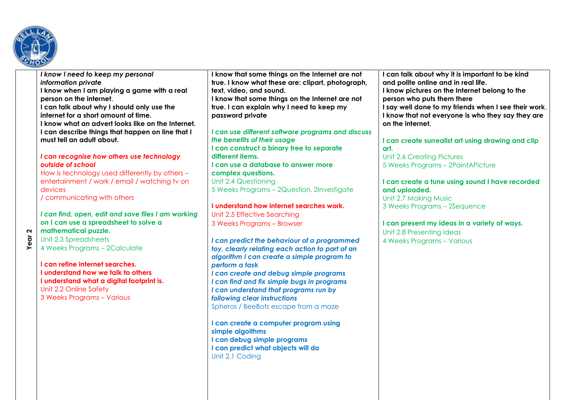

| I know I need to keep my personal<br>information private<br>I know when I am playing a game with a real<br>person on the internet.<br>I can talk about why I should only use the<br>internet for a short amount of time.<br>I know what an advert looks like on the Internet.<br>I can describe things that happen on line that I<br>must tell an adult about.<br>I can recognise how others use technology<br>outside of school<br>How is technology used differently by others -<br>entertainment / work / email / watching tv on<br>devices<br>/ communicating with others<br>I can find, open, edit and save files I am working<br>on I can use a spreadsheet to solve a<br>mathematical puzzle.<br>N<br>Year<br>Unit 2.3 Spreadsheets<br>4 Weeks Programs - 2Calculate<br>I can refine internet searches.<br>I understand how we talk to others<br>I understand what a digital footprint is.<br>Unit 2.2 Online Safety<br>3 Weeks Programs - Various | I know that some things on the Internet are not<br>true. I know what these are: clipart, photograph,<br>text, video, and sound.<br>I know that some things on the Internet are not<br>true. I can explain why I need to keep my<br>password private<br>I can use different software programs and discuss<br>the benefits of their usage<br>I can construct a binary tree to separate<br>different items.<br>I can use a database to answer more<br>complex questions.<br>Unit 2.4 Questioning<br>5 Weeks Programs - 2Question, 2Investigate<br>I understand how internet searches work.<br>Unit 2.5 Effective Searching<br>3 Weeks Programs - Browser<br>I can predict the behaviour of a programmed<br>toy, clearly relating each action to part of an<br>algorithm I can create a simple program to<br>perform a task<br>I can create and debug simple programs<br>I can find and fix simple bugs in programs<br>I can understand that programs run by<br>following clear instructions<br>Spheros / BeeBots escape from a maze<br>I can create a computer program using<br>simple algoithms<br>I can debug simple programs<br>I can predict what objects will do<br>Unit 2.1 Coding | I can talk about why it is important to be kind<br>and polite online and in real life.<br>I know pictures on the Internet belong to the<br>person who puts them there<br>I say well done to my friends when I see their work.<br>I know that not everyone is who they say they are<br>on the internet.<br>I can create surrealist art using drawing and clip<br>art.<br><b>Unit 2.6 Creating Pictures</b><br>5 Weeks Programs - 2PaintAPicture<br>I can create a tune using sound I have recorded<br>and uploaded.<br>Unit 2.7 Making Music<br>3 Weeks Programs - 2Sequence<br>I can present my ideas in a variety of ways.<br>Unit 2.8 Presenting Ideas<br>4 Weeks Programs - Various |
|-----------------------------------------------------------------------------------------------------------------------------------------------------------------------------------------------------------------------------------------------------------------------------------------------------------------------------------------------------------------------------------------------------------------------------------------------------------------------------------------------------------------------------------------------------------------------------------------------------------------------------------------------------------------------------------------------------------------------------------------------------------------------------------------------------------------------------------------------------------------------------------------------------------------------------------------------------------|---------------------------------------------------------------------------------------------------------------------------------------------------------------------------------------------------------------------------------------------------------------------------------------------------------------------------------------------------------------------------------------------------------------------------------------------------------------------------------------------------------------------------------------------------------------------------------------------------------------------------------------------------------------------------------------------------------------------------------------------------------------------------------------------------------------------------------------------------------------------------------------------------------------------------------------------------------------------------------------------------------------------------------------------------------------------------------------------------------------------------------------------------------------------------------------|----------------------------------------------------------------------------------------------------------------------------------------------------------------------------------------------------------------------------------------------------------------------------------------------------------------------------------------------------------------------------------------------------------------------------------------------------------------------------------------------------------------------------------------------------------------------------------------------------------------------------------------------------------------------------------------|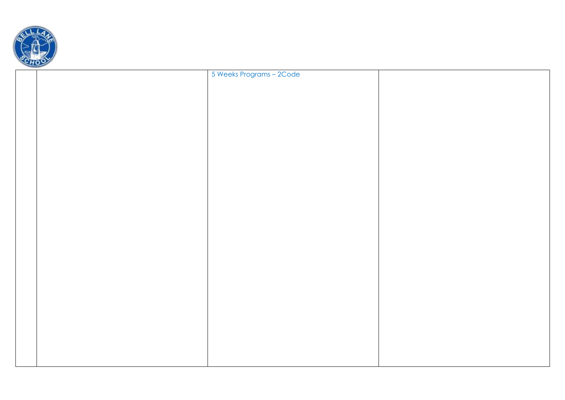

|  | 5 Weeks Programs - 2Code |  |
|--|--------------------------|--|
|  |                          |  |
|  |                          |  |
|  |                          |  |
|  |                          |  |
|  |                          |  |
|  |                          |  |
|  |                          |  |
|  |                          |  |
|  |                          |  |
|  |                          |  |
|  |                          |  |
|  |                          |  |
|  |                          |  |
|  |                          |  |
|  |                          |  |
|  |                          |  |
|  |                          |  |
|  |                          |  |
|  |                          |  |
|  |                          |  |
|  |                          |  |
|  |                          |  |
|  |                          |  |
|  |                          |  |
|  |                          |  |
|  |                          |  |
|  |                          |  |
|  |                          |  |
|  |                          |  |
|  |                          |  |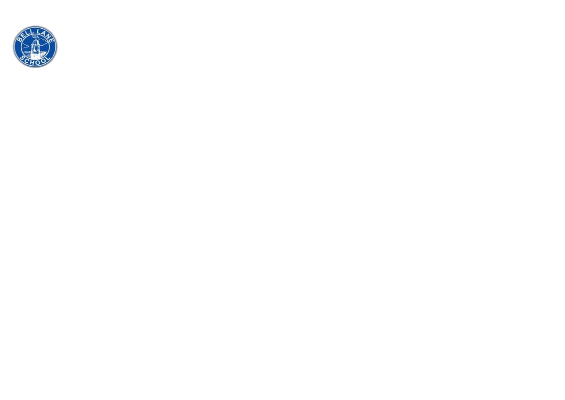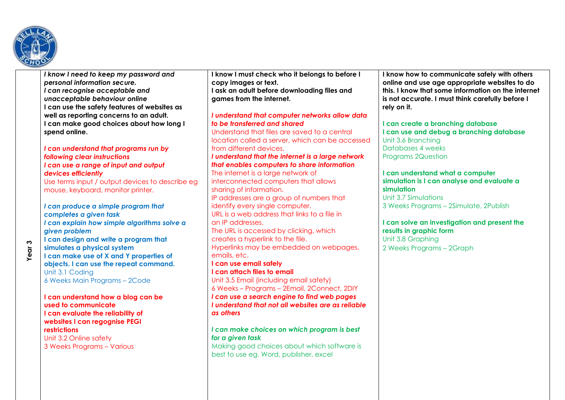

**Year 3**

| I know I need to keep my password and<br>personal information secure.<br>I can recognise acceptable and<br>unacceptable behaviour online<br>I can use the safety features of websites as | I know I must check who it belongs to before I<br>copy images or text.<br>I ask an adult before downloading files and<br>games from the internet. | I know how to communicate safely with others<br>online and use age appropriate websites to do<br>this. I know that some information on the internet<br>is not accurate. I must think carefully before I<br>rely on it. |
|------------------------------------------------------------------------------------------------------------------------------------------------------------------------------------------|---------------------------------------------------------------------------------------------------------------------------------------------------|------------------------------------------------------------------------------------------------------------------------------------------------------------------------------------------------------------------------|
| well as reporting concerns to an adult.                                                                                                                                                  | I understand that computer networks allow data                                                                                                    |                                                                                                                                                                                                                        |
| I can make good choices about how long I                                                                                                                                                 | to be transferred and shared                                                                                                                      | I can create a branching database                                                                                                                                                                                      |
| spend online.                                                                                                                                                                            | Understand that files are saved to a central<br>location called a server, which can be accessed                                                   | I can use and debug a branching database<br>Unit 3.6 Branching                                                                                                                                                         |
| I can understand that programs run by                                                                                                                                                    | from different devices.                                                                                                                           | Databases 4 weeks                                                                                                                                                                                                      |
| following clear instructions                                                                                                                                                             | I understand that the internet is a large network                                                                                                 | <b>Programs 2Question</b>                                                                                                                                                                                              |
| I can use a range of input and output                                                                                                                                                    | that enables computers to share information                                                                                                       |                                                                                                                                                                                                                        |
| devices efficiently                                                                                                                                                                      | The internet is a large network of                                                                                                                | I can understand what a computer                                                                                                                                                                                       |
| Use terms input / output devices to describe eg                                                                                                                                          | interconnected computers that allows                                                                                                              | simulation is I can analyse and evaluate a                                                                                                                                                                             |
| mouse, keyboard, monitor printer.                                                                                                                                                        | sharing of information.                                                                                                                           | simulation                                                                                                                                                                                                             |
|                                                                                                                                                                                          | IP addresses are a group of numbers that                                                                                                          | Unit 3.7 Simulations                                                                                                                                                                                                   |
| I can produce a simple program that                                                                                                                                                      | identify every single computer.                                                                                                                   | 3 Weeks Programs - 2Simulate, 2Publish                                                                                                                                                                                 |
| completes a given task                                                                                                                                                                   | URL is a web address that links to a file in                                                                                                      |                                                                                                                                                                                                                        |
| I can explain how simple algorithms solve a                                                                                                                                              | an IP addresses.                                                                                                                                  | I can solve an investigation and present the                                                                                                                                                                           |
| given problem                                                                                                                                                                            | The URL is accessed by clicking, which                                                                                                            | results in graphic form                                                                                                                                                                                                |
| I can design and write a program that                                                                                                                                                    | creates a hyperlink to the file.                                                                                                                  | Unit 3.8 Graphing                                                                                                                                                                                                      |
| simulates a physical system                                                                                                                                                              | Hyperlinks may be embedded on webpages,                                                                                                           | 2 Weeks Programs - 2Graph                                                                                                                                                                                              |
| I can make use of X and Y properties of                                                                                                                                                  | emails, etc.                                                                                                                                      |                                                                                                                                                                                                                        |
| objects. I can use the repeat command.                                                                                                                                                   | I can use email safely                                                                                                                            |                                                                                                                                                                                                                        |
| Unit 3.1 Coding                                                                                                                                                                          | I can attach files to email                                                                                                                       |                                                                                                                                                                                                                        |
| 6 Weeks Main Programs - 2Code                                                                                                                                                            | Unit 3.5 Email (including email safety)                                                                                                           |                                                                                                                                                                                                                        |
|                                                                                                                                                                                          | 6 Weeks - Programs - 2Email, 2Connect, 2DIY                                                                                                       |                                                                                                                                                                                                                        |
| I can understand how a blog can be                                                                                                                                                       | I can use a search engine to find web pages                                                                                                       |                                                                                                                                                                                                                        |
| used to communicate                                                                                                                                                                      | I understand that not all websites are as reliable                                                                                                |                                                                                                                                                                                                                        |
| I can evaluate the reliability of                                                                                                                                                        | as others                                                                                                                                         |                                                                                                                                                                                                                        |
| websites I can regognise PEGI                                                                                                                                                            |                                                                                                                                                   |                                                                                                                                                                                                                        |
| restrictions                                                                                                                                                                             | I can make choices on which program is best                                                                                                       |                                                                                                                                                                                                                        |
| Unit 3.2 Online safety                                                                                                                                                                   | for a given task                                                                                                                                  |                                                                                                                                                                                                                        |
| 3 Weeks Programs - Various                                                                                                                                                               | Making good choices about which software is<br>best to use eg. Word, publisher, excel                                                             |                                                                                                                                                                                                                        |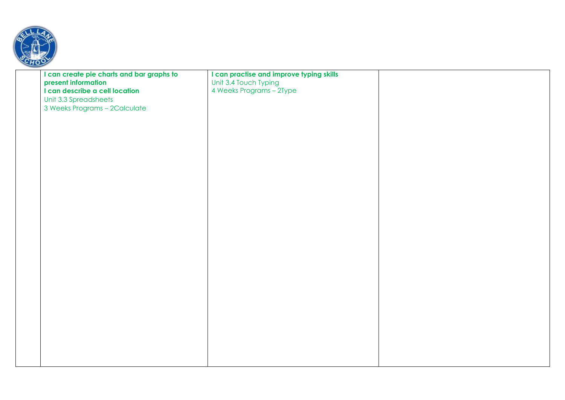

| I can create pie charts and bar graphs to<br>present information | I can practise and improve typing skills<br>Unit 3.4 Touch Typing |  |
|------------------------------------------------------------------|-------------------------------------------------------------------|--|
| I can describe a cell location<br>Unit 3.3 Spreadsheets          | 4 Weeks Programs - 2Type                                          |  |
| 3 Weeks Programs - 2Calculate                                    |                                                                   |  |
|                                                                  |                                                                   |  |
|                                                                  |                                                                   |  |
|                                                                  |                                                                   |  |
|                                                                  |                                                                   |  |
|                                                                  |                                                                   |  |
|                                                                  |                                                                   |  |
|                                                                  |                                                                   |  |
|                                                                  |                                                                   |  |
|                                                                  |                                                                   |  |
|                                                                  |                                                                   |  |
|                                                                  |                                                                   |  |
|                                                                  |                                                                   |  |
|                                                                  |                                                                   |  |
|                                                                  |                                                                   |  |
|                                                                  |                                                                   |  |
|                                                                  |                                                                   |  |
|                                                                  |                                                                   |  |
|                                                                  |                                                                   |  |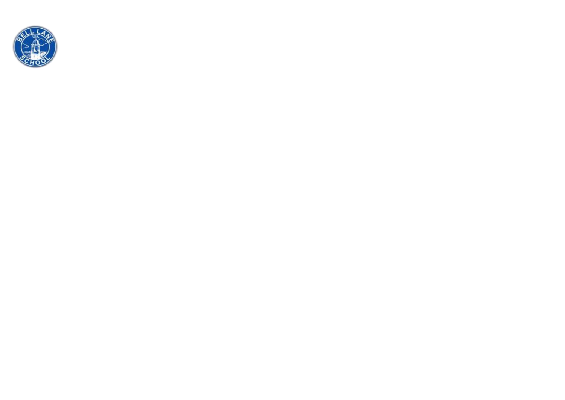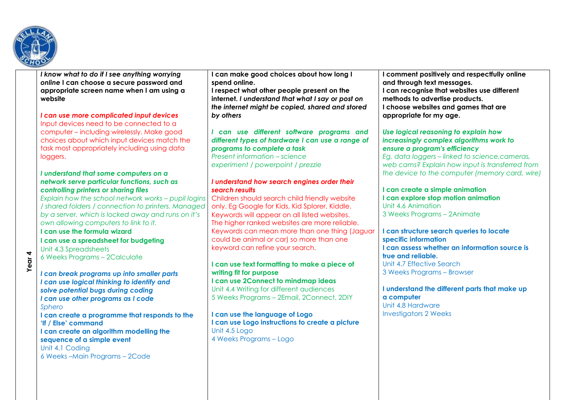

**Year 4** *I know what to do if I see anything worrying online* **I can choose a secure password and appropriate screen name when I am using a website** *I can use more complicated input devices* Input devices need to be connected to a computer – including wirelessly. Make good choices about which input devices match the task most appropriately including using data loggers. *I understand that some computers on a network serve particular functions, such as controlling printers or sharing files Explain how the school network works – pupil logins / shared folders / connection to printers. Managed by a server, which is locked away and runs on it's own allowing computers to link to it.* **I can use the formula wizard I can use a spreadsheet for budgeting** Unit 4.3 Spreadsheets 6 Weeks Programs – 2Calculate *I can break programs up into smaller parts I can use logical thinking to identify and solve potential bugs during coding I can use other programs as I code Sphero* **I can create a programme that responds to the 'If / Else' command I can create an algorithm modelling the sequence of a simple event** Unit 4.1 Coding 6 Weeks –Main Programs – 2Code **I can make good choices about how long I spend online. I respect what other people present on the internet.** *I understand that what I say or post on the internet might be copied, shared and stored by others I can use different software programs and different types of hardware I can use a range of programs to complete a task Present information – science experiment / powerpoint / prezzie I understand how search engines order their search results* Children should search child friendly website only. Eg Google for Kids, Kid Splorer, Kiddle. Keywords will appear on all listed websites. The higher ranked websites are more reliable. Keywords can mean more than one thing (Jaguar could be animal or car) so more than one keyword can refine your search. **I can use text formatting to make a piece of writing fit for purpose I can use 2Connect to mindmap ideas** Unit 4.4 Writing for different audiences 5 Weeks Programs – 2Email, 2Connect, 2DIY **I can use the language of Logo I can use Logo instructions to create a picture** Unit 4.5 Logo 4 Weeks Programs – Logo **I comment positively and respectfully online and through text messages. I can recognise that websites use different methods to advertise products. I choose websites and games that are appropriate for my age.** *Use logical reasoning to explain how increasingly complex algorithms work to ensure a program's efficiency Eg, data loggers – linked to science,cameras, web cams? Explain how input is transferred from the device to the computer (memory card, wire)* **I can create a simple animation I can explore stop motion animation** Unit 4.6 Animation 3 Weeks Programs – 2Animate **I can structure search queries to locate specific information I can assess whether an information source is true and reliable.** Unit 4.7 Effective Search 3 Weeks Programs – Browser **I understand the different parts that make up a computer** Unit 4.8 Hardware Investigators 2 Weeks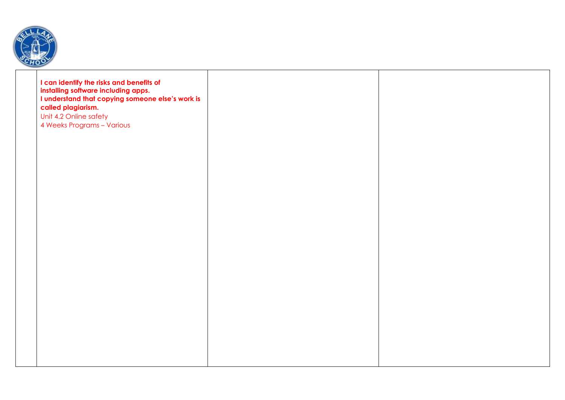

| I can identify the risks and benefits of<br>installing software including apps.<br>I understand that copying someone else's work is<br>called plagiarism.<br>Unit 4.2 Online safety |  |
|-------------------------------------------------------------------------------------------------------------------------------------------------------------------------------------|--|
| 4 Weeks Programs - Various                                                                                                                                                          |  |
|                                                                                                                                                                                     |  |
|                                                                                                                                                                                     |  |
|                                                                                                                                                                                     |  |
|                                                                                                                                                                                     |  |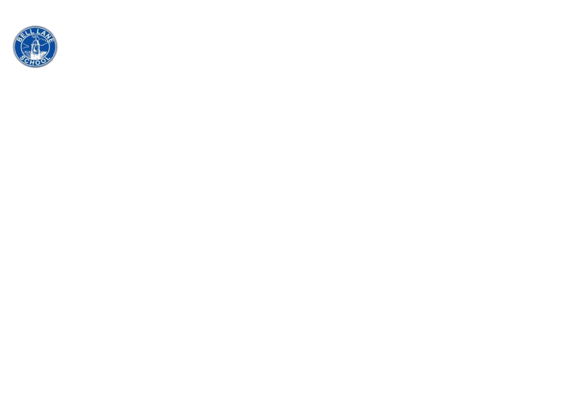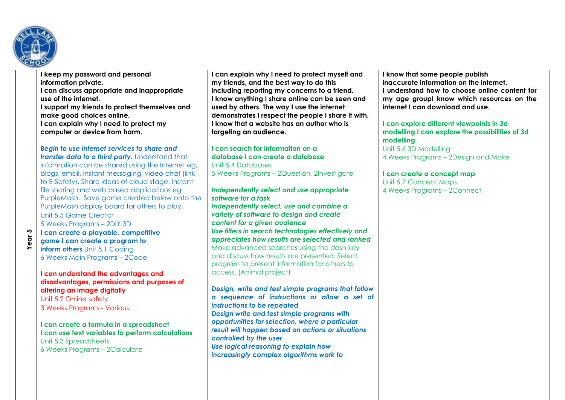

**Year 5 I keep my password and personal information private. I can discuss appropriate and inappropriate use of the internet. I support my friends to protect themselves and make good choices online. I can explain why I need to protect my computer or device from harm.** *Begin to use internet services to share and transfer data to a third party.* Understand that information can be shared using the Internet eg, blogs, email, instant messaging, video chat (link to E-Safety). Share ideas of cloud stage, instant file sharing and web based applications eg PurpleMash. Save game created below onto the PurpleMash display board for others to play. Unit 5.5 Game Creator 5 Weeks Programs – 2DIY 3D **I can create a playable, competitive game I can create a program to inform others** Unit 5.1 Coding 6 Weeks Main Programs – 2Code **I can understand the advantages and disadvantages, permissions and purposes of altering an image digitally** Unit 5.2 Online safety 3 Weeks Programs - Various **I can create a formula in a spreadsheet I can use text variables to perform calculations** Unit 5.3 Spreadsheets 6 Weeks Programs – 2Calculate **I can explain why I need to protect myself and my friends, and the best way to do this including reporting my concerns to a friend. I know anything I share online can be seen and used by others. The way I use the internet demonstrates I respect the people I share it with. I know that a website has an author who is targeting an audience. I can search for information on a database I can create a database** Unit 5.4 Databases 5 Weeks Programs – 2Question, 2Investigate *Independently select and use appropriate software for a task Independently select, use and combine a variety of software to design and create content for a given audience Use filters in search technologies effectively and appreciates how results are selected and ranked*  Make advanced searches using the dash key and discuss how results are presented. Select program to present information for others to access. (Animal project) *Design, write and test simple programs that follow a sequence of instructions or allow a set of instructions to be repeated Design write and test simple programs with opportunities for selection, where a particular result will happen based on actions or situations controlled by the user Use logical reasoning to explain how increasingly complex algorithms work to*  **I know that some people publish inaccurate information on the internet. I understand how to choose online content for my age groupI know which resources on the internet I can download and use. I can explore different viewpoints in 3d modelling I can explore the possibilities of 3d modelling.** Unit 5.6 3D Modelling 4 Weeks Programs – 2Design and Make **I can create a concept map** Unit 5.7 Concept Maps 4 Weeks Programs – 2Connect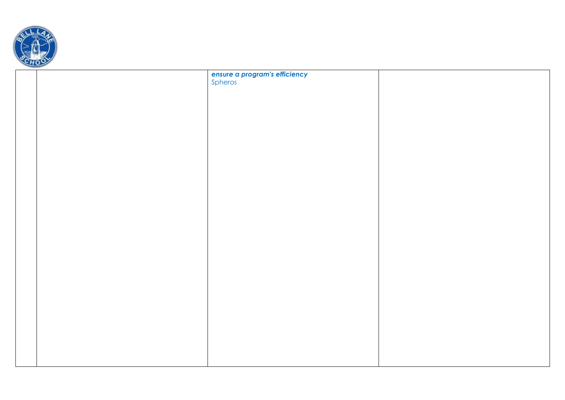

|  | ensure a program's efficiency<br>Spheros |  |
|--|------------------------------------------|--|
|  |                                          |  |
|  |                                          |  |
|  |                                          |  |
|  |                                          |  |
|  |                                          |  |
|  |                                          |  |
|  |                                          |  |
|  |                                          |  |
|  |                                          |  |
|  |                                          |  |
|  |                                          |  |
|  |                                          |  |
|  |                                          |  |
|  |                                          |  |
|  |                                          |  |
|  |                                          |  |
|  |                                          |  |
|  |                                          |  |
|  |                                          |  |
|  |                                          |  |
|  |                                          |  |
|  |                                          |  |
|  |                                          |  |
|  |                                          |  |
|  |                                          |  |
|  |                                          |  |
|  |                                          |  |
|  |                                          |  |
|  |                                          |  |
|  |                                          |  |
|  |                                          |  |
|  |                                          |  |
|  |                                          |  |
|  |                                          |  |
|  |                                          |  |
|  |                                          |  |
|  |                                          |  |
|  |                                          |  |
|  |                                          |  |
|  |                                          |  |
|  |                                          |  |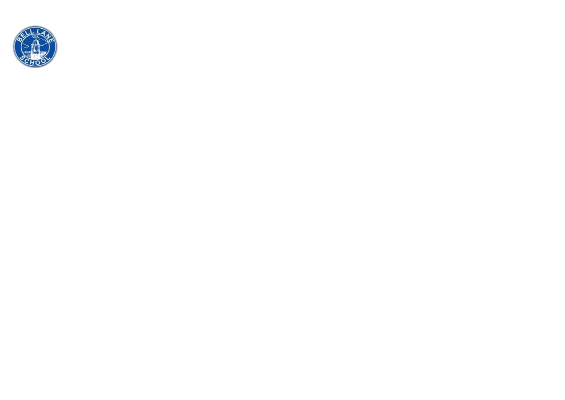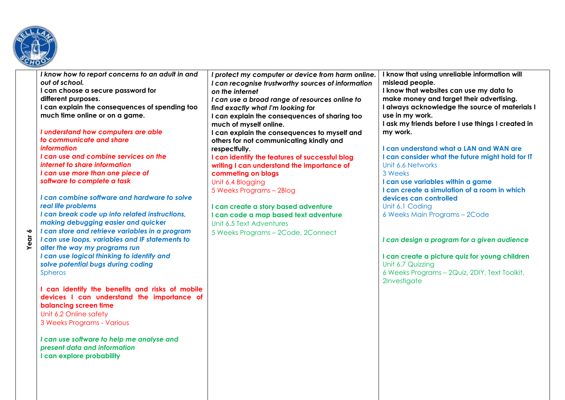

| I know how to report concerns to an adult in and<br>out of school.<br>I can choose a secure password for<br>different purposes.<br>I can explain the consequences of spending too<br>much time online or on a game.<br>I understand how computers are able<br>to communicate and share<br><i>information</i><br>I can use and combine services on the<br>internet to share information<br>I can use more than one piece of<br>software to complete a task<br>I can combine software and hardware to solve<br>real life problems<br>I can break code up into related instructions,<br>making debugging easier and quicker<br>I can store and retrieve variables in a program<br>$\bullet$<br>ā<br>I can use loops, variables and IF statements to<br>alter the way my programs run<br>⋝<br>I can use logical thinking to identify and<br>solve potential bugs during coding<br>Spheros<br>I can identify the benefits and risks of mobile<br>devices I can understand the importance of<br>balancing screen time<br>Unit 6.2 Online safety<br>3 Weeks Programs - Various<br>I can use software to help me analyse and<br>present data and information<br>I can explore probability | I protect my computer or device from harm online.<br>I can recognise trustworthy sources of information<br>on the internet<br>I can use a broad range of resources online to<br>find exactly what I'm looking for<br>I can explain the consequences of sharing too<br>much of myself online.<br>I can explain the consequences to myself and<br>others for not communicating kindly and<br>respectfully.<br>I can identify the features of successful blog<br>writing I can understand the importance of<br>commeting on blogs<br>Unit 6.4 Blogging<br>5 Weeks Programs - 2Blog<br>I can create a story based adventure<br>I can code a map based text adventure<br>Unit 6.5 Text Adventures<br>5 Weeks Programs - 2Code, 2Connect | I know that using unreliable information will<br>mislead people.<br>I know that websites can use my data to<br>make money and target their advertising.<br>I always acknowledge the source of materials I<br>use in my work.<br>I ask my friends before I use things I created in<br>my work.<br>I can understand what a LAN and WAN are<br>I can consider what the future might hold for IT<br>Unit 6.6 Networks<br>3 Weeks<br>I can use variables within a game<br>I can create a simulation of a room in which<br>devices can controlled<br>Unit 6.1 Coding<br>6 Weeks Main Programs - 2Code<br>I can design a program for a given audience<br>I can create a picture quiz for young children<br>Unit 6.7 Quizzing<br>6 Weeks Programs - 2Quiz, 2DIY, Text Toolkit,<br>2Investigate |
|-----------------------------------------------------------------------------------------------------------------------------------------------------------------------------------------------------------------------------------------------------------------------------------------------------------------------------------------------------------------------------------------------------------------------------------------------------------------------------------------------------------------------------------------------------------------------------------------------------------------------------------------------------------------------------------------------------------------------------------------------------------------------------------------------------------------------------------------------------------------------------------------------------------------------------------------------------------------------------------------------------------------------------------------------------------------------------------------------------------------------------------------------------------------------------------|------------------------------------------------------------------------------------------------------------------------------------------------------------------------------------------------------------------------------------------------------------------------------------------------------------------------------------------------------------------------------------------------------------------------------------------------------------------------------------------------------------------------------------------------------------------------------------------------------------------------------------------------------------------------------------------------------------------------------------|----------------------------------------------------------------------------------------------------------------------------------------------------------------------------------------------------------------------------------------------------------------------------------------------------------------------------------------------------------------------------------------------------------------------------------------------------------------------------------------------------------------------------------------------------------------------------------------------------------------------------------------------------------------------------------------------------------------------------------------------------------------------------------------|
|-----------------------------------------------------------------------------------------------------------------------------------------------------------------------------------------------------------------------------------------------------------------------------------------------------------------------------------------------------------------------------------------------------------------------------------------------------------------------------------------------------------------------------------------------------------------------------------------------------------------------------------------------------------------------------------------------------------------------------------------------------------------------------------------------------------------------------------------------------------------------------------------------------------------------------------------------------------------------------------------------------------------------------------------------------------------------------------------------------------------------------------------------------------------------------------|------------------------------------------------------------------------------------------------------------------------------------------------------------------------------------------------------------------------------------------------------------------------------------------------------------------------------------------------------------------------------------------------------------------------------------------------------------------------------------------------------------------------------------------------------------------------------------------------------------------------------------------------------------------------------------------------------------------------------------|----------------------------------------------------------------------------------------------------------------------------------------------------------------------------------------------------------------------------------------------------------------------------------------------------------------------------------------------------------------------------------------------------------------------------------------------------------------------------------------------------------------------------------------------------------------------------------------------------------------------------------------------------------------------------------------------------------------------------------------------------------------------------------------|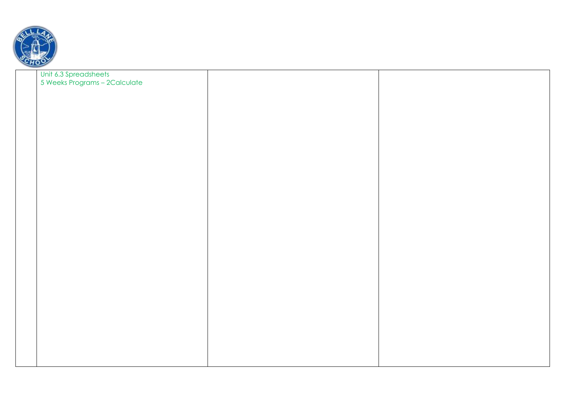

| Unit 6.3 Spreadsheets<br>5 Weeks Programs – 2Calculate |  |
|--------------------------------------------------------|--|
|                                                        |  |
|                                                        |  |
|                                                        |  |
|                                                        |  |
|                                                        |  |
|                                                        |  |
|                                                        |  |
|                                                        |  |
|                                                        |  |
|                                                        |  |
|                                                        |  |
|                                                        |  |
|                                                        |  |
|                                                        |  |
|                                                        |  |
|                                                        |  |
|                                                        |  |
|                                                        |  |
|                                                        |  |
|                                                        |  |
|                                                        |  |
|                                                        |  |